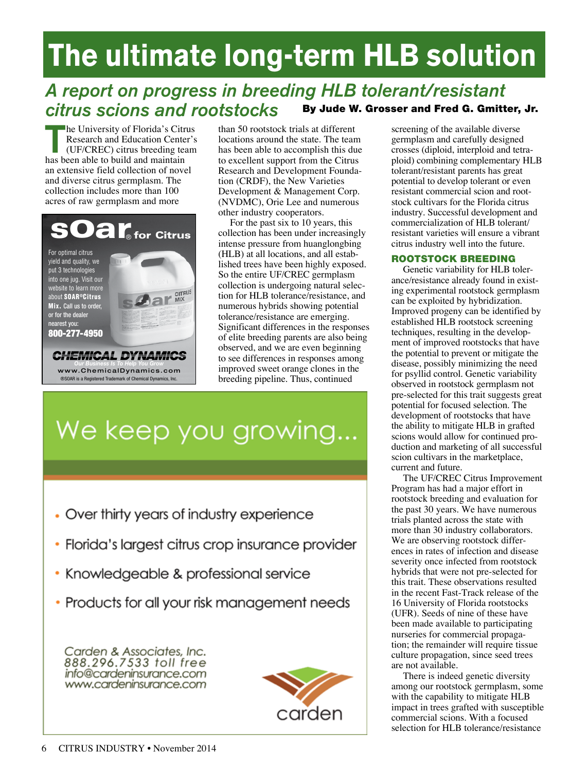# **The ultimate long-term HLB solution**

### *A report on progress in breeding HLB tolerant/resistant citrus scions and rootstocks* By Jude W. Grosser and Fred G. Gmitter, Jr.

**The University of Florida's Citrus** Research and Education Center's (UF/CREC) citrus breeding team has been able to build and maintain an extensive field collection of novel and diverse citrus germplasm. The collection includes more than 100 acres of raw germplasm and more



than 50 rootstock trials at different locations around the state. The team has been able to accomplish this due to excellent support from the Citrus Research and Development Foundation (CRDF), the New Varieties Development & Management Corp. (NVDMC), Orie Lee and numerous other industry cooperators.

For the past six to 10 years, this collection has been under increasingly intense pressure from huanglongbing (HLB) at all locations, and all established trees have been highly exposed. So the entire UF/CREC germplasm collection is undergoing natural selection for HLB tolerance/resistance, and numerous hybrids showing potential tolerance/resistance are emerging. Significant differences in the responses of elite breeding parents are also being observed, and we are even beginning to see differences in responses among improved sweet orange clones in the breeding pipeline. Thus, continued

# We keep you growing...

- Over thirty years of industry experience
- Florida's largest citrus crop insurance provider
- Knowledgeable & professional service
- Products for all your risk management needs

Carden & Associates, Inc. 888.296.7533 toll free info@cardeninsurance.com www.cardeninsurance.com



screening of the available diverse germplasm and carefully designed crosses (diploid, interploid and tetraploid) combining complementary HLB tolerant/resistant parents has great potential to develop tolerant or even resistant commercial scion and rootstock cultivars for the Florida citrus industry. Successful development and commercialization of HLB tolerant/ resistant varieties will ensure a vibrant citrus industry well into the future.

### ROOTSTOCK BREEDING

Genetic variability for HLB tolerance/resistance already found in existing experimental rootstock germplasm can be exploited by hybridization. Improved progeny can be identified by established HLB rootstock screening techniques, resulting in the development of improved rootstocks that have the potential to prevent or mitigate the disease, possibly minimizing the need for psyllid control. Genetic variability observed in rootstock germplasm not pre-selected for this trait suggests great potential for focused selection. The development of rootstocks that have the ability to mitigate HLB in grafted scions would allow for continued production and marketing of all successful scion cultivars in the marketplace, current and future.

The UF/CREC Citrus Improvement Program has had a major effort in rootstock breeding and evaluation for the past 30 years. We have numerous trials planted across the state with more than 30 industry collaborators. We are observing rootstock differences in rates of infection and disease severity once infected from rootstock hybrids that were not pre-selected for this trait. These observations resulted in the recent Fast-Track release of the 16 University of Florida rootstocks (UFR). Seeds of nine of these have been made available to participating nurseries for commercial propagation; the remainder will require tissue culture propagation, since seed trees are not available.

There is indeed genetic diversity among our rootstock germplasm, some with the capability to mitigate HLB impact in trees grafted with susceptible commercial scions. With a focused selection for HLB tolerance/resistance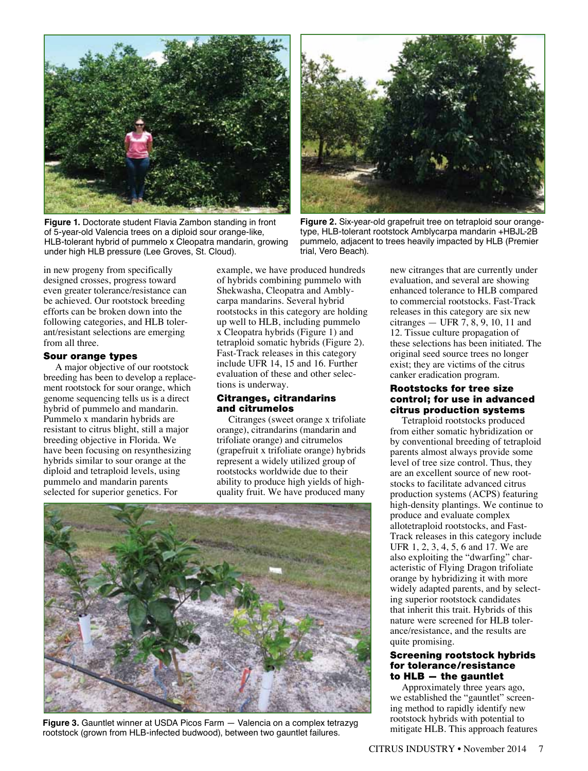

**Figure 1.** Doctorate student Flavia Zambon standing in front of 5-year-old Valencia trees on a diploid sour orange-like, HLB-tolerant hybrid of pummelo x Cleopatra mandarin, growing under high HLB pressure (Lee Groves, St. Cloud).



**Figure 2.** Six-year-old grapefruit tree on tetraploid sour orangetype, HLB-tolerant rootstock Amblycarpa mandarin +HBJL-2B pummelo, adjacent to trees heavily impacted by HLB (Premier trial, Vero Beach).

in new progeny from specifically designed crosses, progress toward even greater tolerance/resistance can be achieved. Our rootstock breeding efforts can be broken down into the following categories, and HLB tolerant/resistant selections are emerging from all three.

#### Sour orange types

A major objective of our rootstock breeding has been to develop a replacement rootstock for sour orange, which genome sequencing tells us is a direct hybrid of pummelo and mandarin. Pummelo x mandarin hybrids are resistant to citrus blight, still a major breeding objective in Florida. We have been focusing on resynthesizing hybrids similar to sour orange at the diploid and tetraploid levels, using pummelo and mandarin parents selected for superior genetics. For

example, we have produced hundreds of hybrids combining pummelo with Shekwasha, Cleopatra and Amblycarpa mandarins. Several hybrid rootstocks in this category are holding up well to HLB, including pummelo x Cleopatra hybrids (Figure 1) and tetraploid somatic hybrids (Figure 2). Fast-Track releases in this category include UFR 14, 15 and 16. Further evaluation of these and other selections is underway.

#### Citranges, citrandarins and citrumelos

Citranges (sweet orange x trifoliate orange), citrandarins (mandarin and trifoliate orange) and citrumelos (grapefruit x trifoliate orange) hybrids represent a widely utilized group of rootstocks worldwide due to their ability to produce high yields of highquality fruit. We have produced many



**Figure 3.** Gauntlet winner at USDA Picos Farm — Valencia on a complex tetrazyg rootstock (grown from HLB-infected budwood), between two gauntlet failures.

new citranges that are currently under evaluation, and several are showing enhanced tolerance to HLB compared to commercial rootstocks. Fast-Track releases in this category are six new citranges — UFR 7, 8, 9, 10, 11 and 12. Tissue culture propagation of these selections has been initiated. The original seed source trees no longer exist; they are victims of the citrus canker eradication program.

#### Rootstocks for tree size control; for use in advanced citrus production systems

Tetraploid rootstocks produced from either somatic hybridization or by conventional breeding of tetraploid parents almost always provide some level of tree size control. Thus, they are an excellent source of new rootstocks to facilitate advanced citrus production systems (ACPS) featuring high-density plantings. We continue to produce and evaluate complex allotetraploid rootstocks, and Fast-Track releases in this category include UFR 1, 2, 3, 4, 5, 6 and 17. We are also exploiting the "dwarfing" characteristic of Flying Dragon trifoliate orange by hybridizing it with more widely adapted parents, and by selecting superior rootstock candidates that inherit this trait. Hybrids of this nature were screened for HLB tolerance/resistance, and the results are quite promising.

#### Screening rootstock hybrids for tolerance/resistance to HLB — the gauntlet

Approximately three years ago, we established the "gauntlet" screening method to rapidly identify new rootstock hybrids with potential to mitigate HLB. This approach features